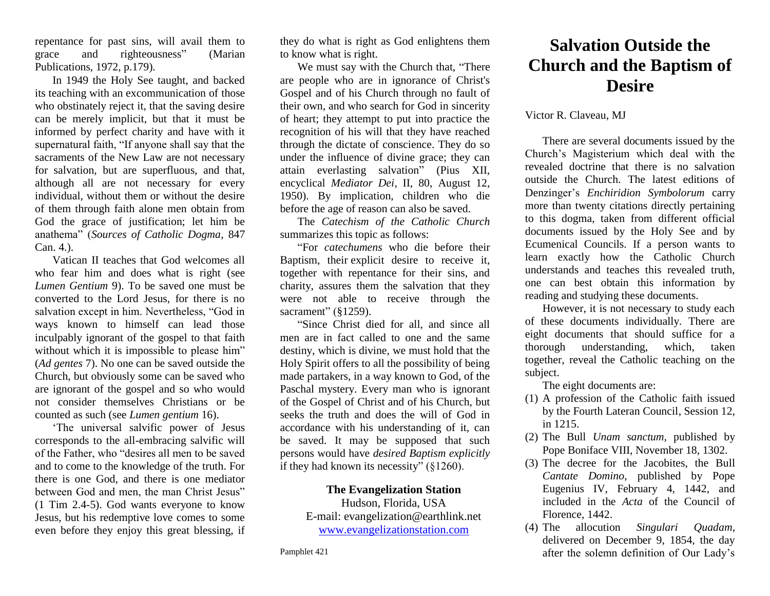repentance for past sins, will avail them to grace and righteousness" (Marian Publications, 1972, p.179).

In 1949 the Holy See taught, and backed its teaching with an excommunication of those who obstinately reject it, that the saving desire can be merely implicit, but that it must be informed by perfect charity and have with it supernatural faith, "If anyone shall say that the sacraments of the New Law are not necessary for salvation, but are superfluous, and that, although all are not necessary for every individual, without them or without the desire of them through faith alone men obtain from God the grace of justification; let him be anathema" (*Sources of Catholic Dogma*, 847 Can. 4.).

Vatican II teaches that God welcomes all who fear him and does what is right (see *Lumen Gentium* 9). To be saved one must be converted to the Lord Jesus, for there is no salvation except in him. Nevertheless, "God in ways known to himself can lead those inculpably ignorant of the gospel to that faith without which it is impossible to please him" (*Ad gentes* 7). No one can be saved outside the Church, but obviously some can be saved who are ignorant of the gospel and so who would not consider themselves Christians or be counted as such (see *Lumen gentium* 16).

'The universal salvific power of Jesus corresponds to the all-embracing salvific will of the Father, who "desires all men to be saved and to come to the knowledge of the truth. For there is one God, and there is one mediator between God and men, the man Christ Jesus" (1 Tim 2.4-5). God wants everyone to know Jesus, but his redemptive love comes to some even before they enjoy this great blessing, if they do what is right as God enlightens them to know what is right.

We must say with the Church that, "There are people who are in ignorance of Christ's Gospel and of his Church through no fault of their own, and who search for God in sincerity of heart; they attempt to put into practice the recognition of his will that they have reached through the dictate of conscience. They do so under the influence of divine grace; they can attain everlasting salvation" (Pius XII, encyclical *Mediator Dei*, II, 80, August 12, 1950). By implication, children who die before the age of reason can also be saved.

The *Catechism of the Catholic Church*  summarizes this topic as follows:

"For *catechumens* who die before their Baptism, their explicit desire to receive it, together with repentance for their sins, and charity, assures them the salvation that they were not able to receive through the sacrament" (§1259).

"Since Christ died for all, and since all men are in fact called to one and the same destiny, which is divine, we must hold that the Holy Spirit offers to all the possibility of being made partakers, in a way known to God, of the Paschal mystery. Every man who is ignorant of the Gospel of Christ and of his Church, but seeks the truth and does the will of God in accordance with his understanding of it, can be saved. It may be supposed that such persons would have *desired Baptism explicitly* if they had known its necessity" (§1260).

## **The Evangelization Station**

Hudson, Florida, USA E-mail: evangelization@earthlink.net [www.evangelizationstation.com](http://www.pjpiisoe.org/)

## **Salvation Outside the Church and the Baptism of Desire**

## Victor R. Claveau, MJ

There are several documents issued by the Church's Magisterium which deal with the revealed doctrine that there is no salvation outside the Church. The latest editions of Denzinger's *Enchiridion Symbolorum* carry more than twenty citations directly pertaining to this dogma, taken from different official documents issued by the Holy See and by Ecumenical Councils. If a person wants to learn exactly how the Catholic Church understands and teaches this revealed truth, one can best obtain this information by reading and studying these documents.

However, it is not necessary to study each of these documents individually. There are eight documents that should suffice for a thorough understanding, which, taken together, reveal the Catholic teaching on the subject.

The eight documents are:

- (1) A profession of the Catholic faith issued by the Fourth Lateran Council, Session 12, in 1215.
- (2) The Bull *Unam sanctum,* published by Pope Boniface VIII, November 18, 1302.
- (3) The decree for the Jacobites, the Bull *Cantate Domino*, published by Pope Eugenius IV, February 4, 1442, and included in the *Acta* of the Council of Florence, 1442.
- (4) The allocution *Singulari Quadam*, delivered on December 9, 1854, the day after the solemn definition of Our Lady's